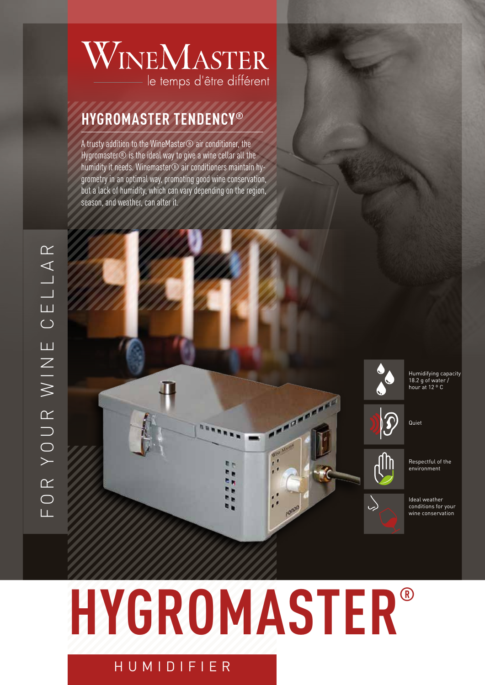### WINEMASTER le temps d'être différent

### **HYGROMASTER TENDENCY ®**

A trusty addition to the WineMaster® air conditioner, the Hygromaster® is the ideal way to give a wine cellar all the humidity it needs. Winemaster® air conditioners maintain hy grometry in an optimal way, promoting good wine conservation, but a lack of humidity, which can vary depending on the region, season, and weather, can alter it.



 $\mathbf{\Omega}$ 

 $\bigg\downarrow$ 

Humidifying capacity 18.2 g of water / hour at 12 º C





Respectful of the environment

Ideal weather conditions for your wine conservation

# **HYGROMASTER ®**

 $\mathcal{A}$ 

#### HUMIDIFIER